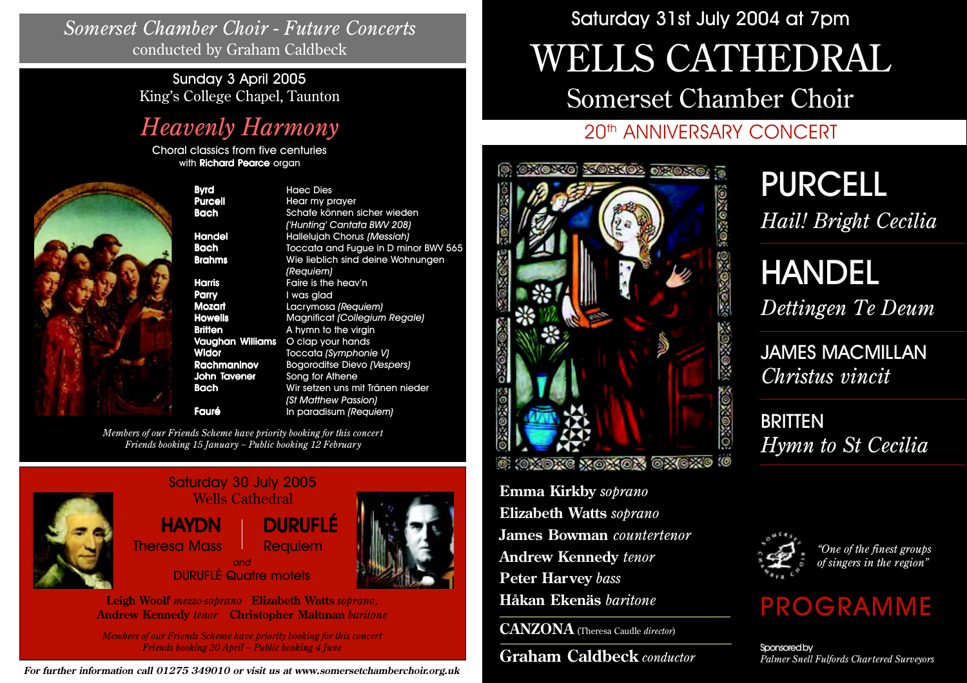*Somerset Chamber Choir - Future Concerts* conducted by Graham Caldbeck

> Sunday 3 April 2005 King's College Chapel, Taunton

# *Heavenly Harmony*

Choral classics from five centuries with **Richard Pearce** organ



Byrd Haec Dies Purcell Hear my prayer **Parry** I was glad **John Tavener** Song for Athene

Bach Schafe können sicher wieden *('Hunting' Cantata BWV 208)* Handel Hallelujah Chorus *(Messiah)* Bach Toccata and Fugue in D minor BWV 565 Brahms Wie lieblich sind deine Wohnungen *(Requiem)* Harris Faire is the heav'n **Mozart** Lacrymosa (Requiem) Howells Magnificat *(Collegium Regale)* **Britten** A hymn to the virgin Vaughan Williams O clap your hands Widor Toccata *(Symphonie V)* Rachmaninov Bogoroditse Dievo *(Vespers)* Bach Wir setzen uns mit Tränen nieder *(St Matthew Passion)* **Fauré** In paradisum *(Requiem)* 

*Members of our Friends Scheme have priority booking for this concert Friends booking 15 January ~ Public booking 12 February*



| Saturday 30 July 2005<br><b>Wells Cathedral</b> |                |  |
|-------------------------------------------------|----------------|--|
| <b>HAYDN</b>                                    | <b>DURUFLÉ</b> |  |
| <b>Theresa Mass</b>                             | <b>Requiem</b> |  |
| and<br><b>DURUFLÉ Quatre motets</b>             |                |  |



*Members of our Friends Scheme have priority booking for this concert Friends booking 30 April ~ Public booking 4 June*

**For further information call 01275 349010 or visit us at www.somersetchamberchoir.org.uk**

# Saturday 31st July 2004 at 7pm

# WELLS CATHEDRAL

Somerset Chamber Choir

# 20th ANNIVERSARY CONCERT



**Emma Kirkby** *soprano* **Elizabeth Watts** *soprano* **James Bowman** *countertenor* **Andrew Kennedy** *tenor* **Peter Harvey** *bass* **Håkan Ekenäs** *baritone*

**CANZONA** (Theresa Caudle *director*)

**Graham Caldbeck** *conductor*

# PURCELL *Hail! Bright Cecilia*

HANDEL *Dettingen Te Deum*

JAMES MACMILLAN *Christus vincit*

**BRITTEN** *Hymn to St Cecilia*



*"One of the finest groups of singers in the region"*

# PROGRAMME

Sponsored by *Palmer Snell Fulfords Chartered Surveyors*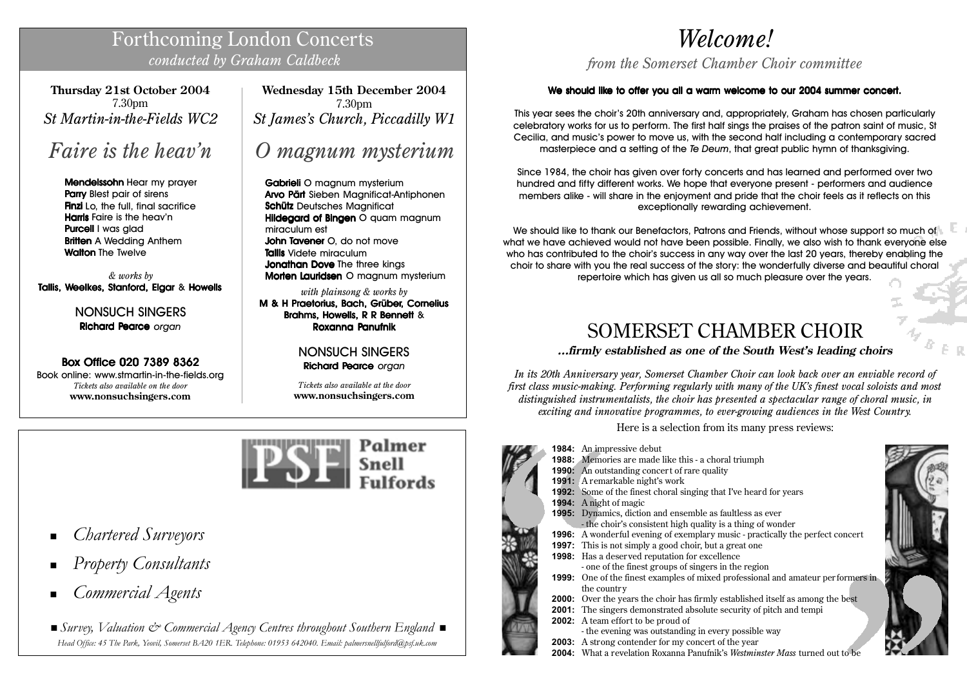# Forthcoming London Concerts *conducted by Graham Caldbeck*

**Thursday 21st October 2004** 7.30pm *St Martin-in-the-Fields WC2*

# *Faire is the heav'n*

Mendelssohn Mendelssohn Hear my prayer Parry Blest pair of sirens **Finzi** Lo, the full, final sacrifice **Harris** Faire is the heav'n **Purcell I was glad Britten** A Wedding Anthem **Walton The Twelve** 

*& works by* Tallis, Weelkes, Stanford, Elgar & Howells

> NONSUCH SINGERS Richard Pearce*organ*

# Box Office 020 7389 8362

Book online: www.stmartin-in-the-fields.org *Tickets also available on the door* **www.nonsuchsingers.com**

**Wednesday 15th December 2004** 7.30pm *St James's Church, Piccadilly W1*

# *O magnum mysterium*

Gabrieli O magnum mysterium Arvo Pärt Sieben Magnificat-Antiphonen Schütz Deutsches Maanificat Hildegard of Bingen O quam magnum miraculum est **John Tavener O, do not move** Tallis Videte miraculum **Jonathan Dove The three kings** Morten Lauridsen O magnum mysterium

*with plainsong & works by* M & H Praetorius, Bach, Grüber, Cornelius Brahms, Howells, R R Bennett & Roxanna Panufnik

# NONSUCH SINGERS Richard Pearce*organ*

*Tickets also available at the door* **www.nonsuchsingers.com**



- *Chartered Surveyors*
- *Property Consultants*
- *Commercial Agents*

 *Survey, Valuation & Commercial Agency Centres throughout Southern England Head Office: 45 The Park, Yeovil, Somerset BA20 1ER. Telephone: 01953 642040. Email: palmersnellfulford@psf.uk.com*

# *Welcome!*

*from the Somerset Chamber Choir committee*

# We should like to offer you all a warm welcome to our 2004 summer concert.

This year sees the choir's 20th anniversary and, appropriately, Graham has chosen particularly celebratory works for us to perform. The first half sings the praises of the patron saint of music, St Cecilia, and music's power to move us, with the second half including a contemporary sacred masterpiece and a setting of the *Te Deum*, that great public hymn of thanksgiving.

Since 1984, the choir has given over forty concerts and has learned and performed over two hundred and fifty different works. We hope that everyone present - performers and audience members alike - will share in the enjoyment and pride that the choir feels as it reflects on this exceptionally rewarding achievement.

We should like to thank our Benefactors, Patrons and Friends, without whose support so much of what we have achieved would not have been possible. Finally, we also wish to thank everyone else who has contributed to the choir's success in any way over the last 20 years, thereby enabling the choir to share with you the real success of the story: the wonderfully diverse and beautiful choral repertoire which has given us all so much pleasure over the years.

# SOMERSET CHAMBER CHOIR

**...firmly established as one of the South West's leading choirs**

*In its 20th Anniversary year, Somerset Chamber Choir can look back over an enviable record of first class music-making. Performing regularly with many of the UK's finest vocal soloists and most distinguished instrumentalists, the choir has presented a spectacular range of choral music, in exciting and innovative programmes, to ever-growing audiences in the West Country.*

Here is a selection from its many press reviews:

- **1984:** An impressive debut **1988:** Memories are made like this - a choral triumph **1990:** An outstanding concert of rare quality **1991:** A remarkable night's work **1992:** Some of the finest choral singing that I've heard for years **1994:** A night of magic **1995:** Dynamics, diction and ensemble as faultless as ever - the choir's consistent high quality is a thing of wonder **1996:** A wonderful evening of exemplary music - practically the perfect concert **1997:** This is not simply a good choir, but a great one **1998:** Has a deser ved reputation for excellence - one of the finest groups of singers in the region **1999:** One of the finest examples of mixed professional and amateur per formers in the countr y **2000:** Over the years the choir has firmly established itself as among the best **2001:** The singers demonstrated absolute security of pitch and tempi **2002:** A team effort to be proud of - the evening was outstanding in every possible way
	- **2003:** A strong contender for my concert of the year
	- **2004:** What a revelation Roxanna Panufnik's *Westminster Mass* turned out to be



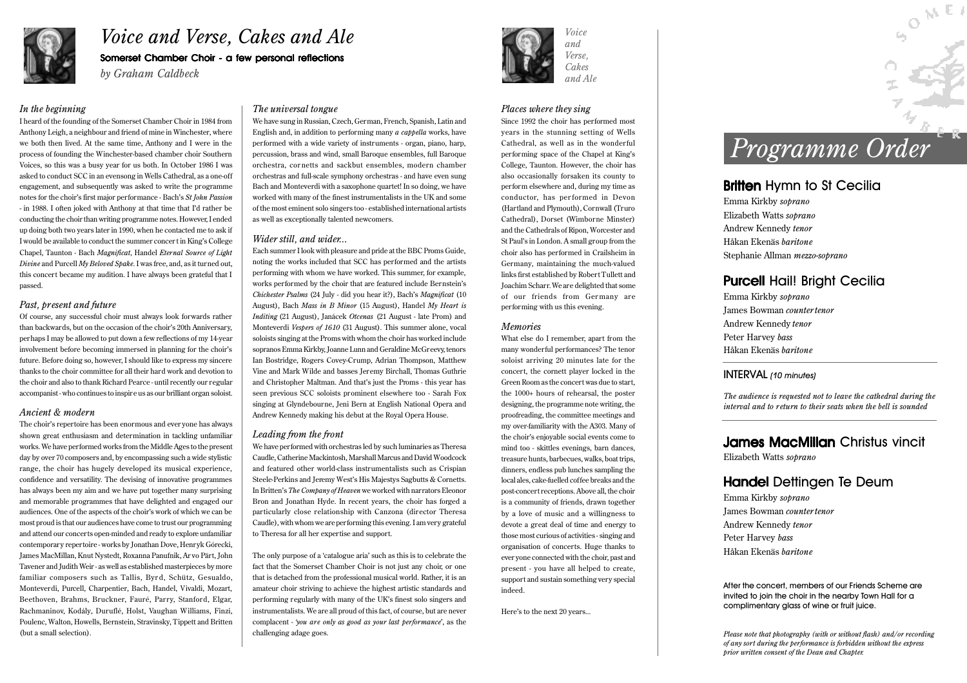

# *Voice and Verse, Cakes and Ale* Somerset Chamber Choir - a few personal reflections

*by Graham Caldbeck*

### *In the beginning*

I heard of the founding of the Somerset Chamber Choir in 1984 from Anthony Leigh, a neighbour and friend of mine in Winchester, where we both then lived. At the same time, Anthony and I were in the process of founding the Winchester-based chamber choir Southern Voices, so this was a busy year for us both. In October 1986 I was asked to conduct SCC in an evensong in Wells Cathedral, as a one-off engagement, and subsequently was asked to write the programme notes for the choir's first major performance - Bach's *St John Passion -* in 1988. I often joked with Anthony at that time that I'd rather be conducting the choir than writing programme notes. However, I ended up doing both two years later in 1990, when he contacted me to ask if I would be available to conduct the summer concert in King's College Chapel, Taunton - Bach *Magnificat*, Handel *Eternal Source of Light Divine* and Purcell *My Beloved Spake*. I was free, and, as it turned out, this concert became my audition. I have always been grateful that I passed.

### *Past, present and future*

Of course, any successful choir must always look forwards rather than backwards, but on the occasion of the choir's 20th Anniversary, perhaps I may be allowed to put down a few reflections of my 14-year involvement before becoming immersed in planning for the choir's future. Before doing so, however, I should like to express my sincere thanks to the choir committee for all their hard work and devotion to the choir and also to thank Richard Pearce - until recently our regular accompanist - who continues to inspire us as our brilliant organ soloist.

### *Ancient & modern*

The choir's repertoire has been enormous and ever yone has always shown great enthusiasm and determination in tackling unfamiliar works. We have performed works from the Middle Ages to the present day by over 70 composers and, by encompassing such a wide stylistic range, the choir has hugely developed its musical experience, confidence and versatility. The devising of innovative programmes has always been my aim and we have put together many surprising and memorable programmes that have delighted and engaged our audiences. One of the aspects of the choir's work of which we can be most proud is that our audiences have come to trust our programming and attend our concerts open-minded and ready to explore unfamiliar contemporary repertoire - works by Jonathan Dove, Henryk Górecki, James MacMillan, Knut Nystedt, Roxanna Panufnik, Ar vo Pärt, John Tavener and Judith Weir - as well as established masterpieces by more familiar composers such as Tallis, Byrd, Schütz, Gesualdo, Monteverdi, Purcell, Charpentier, Bach, Handel, Vivaldi, Mozart, Beethoven, Brahms, Bruckner, Fauré, Parry, Stanford, Elgar, Rachmaninov, Kodály, Duruflé, Holst, Vaughan Williams, Finzi, Poulenc, Walton, Howells, Bernstein, Stravinsky, Tippett and Britten (but a small selection).

### *The universal tongue*

We have sung in Russian, Czech, German, French, Spanish, Latin and English and, in addition to performing many *a cappella* works, have performed with a wide variety of instruments - organ, piano, harp, percussion, brass and wind, small Baroque ensembles, full Baroque orchestra, cor netts and sackbut ensembles, modern chamber orchestras and full-scale symphony orchestras - and have even sung Bach and Monteverdi with a saxophone quartet! In so doing, we have worked with many of the finest instrumentalists in the UK and some of the most eminent solo singers too - established international artists as well as exceptionally talented newcomers.

### *Wider still, and wider...*

Each summer I look with pleasure and pride at the BBC Proms Guide, noting the works included that SCC has performed and the artists performing with whom we have worked. This summer, for example, works performed by the choir that are featured include Bernstein's *Chichester Psalms* (24 July - did you hear it?), Bach's *Magnificat* (10 August), Bach *Mass in B Minor* (15 August), Handel *My Heart is Inditing* (21 August), Janácek *Otcenas* (21 August - late Prom) and Monteverdi *Vespers of 1610* (31 August). This summer alone, vocal soloists singing at the Proms with whom the choir has worked include sopranos Emma Kirkby, Joanne Lunn and Geraldine McGreevy, tenors Ian Bostridge, Rogers Covey-Crump, Adrian Thompson, Matthew Vine and Mark Wilde and basses Jeremy Birchall, Thomas Guthrie and Christopher Maltman. And that's just the Proms - this year has seen previous SCC soloists prominent elsewhere too - Sarah Fox singing at Glyndebourne, Jeni Bern at English National Opera and Andrew Kennedy making his debut at the Royal Opera House.

### *Leading from the front*

We have performed with orchestras led by such luminaries as Theresa Caudle, Catherine Mackintosh, Marshall Marcus and David Woodcock and featured other world-class instrumentalists such as Crispian Steele-Perkins and Jeremy West's His Majestys Sagbutts & Cornetts. In Britten's *The Company of Heaven* we worked with narrators Eleonor Bron and Jonathan Hyde. In recent years, the choir has forged a particularly close relationship with Canzona (director Theresa Caudle), with whom we are performing this evening. I am very grateful to Theresa for all her expertise and support.

The only purpose of a 'catalogue aria' such as this is to celebrate the fact that the Somerset Chamber Choir is not just any choir, or one that is detached from the professional musical world. Rather, it is an amateur choir striving to achieve the highest artistic standards and performing regularly with many of the UK's finest solo singers and instrumentalists. We are all proud of this fact, of course, but are never complacent - *'you are only as good as your last performance*', as the challenging adage goes.



### *Places where they sing*

Since 1992 the choir has performed most years in the stunning setting of Wells Cathedral, as well as in the wonderful performing space of the Chapel at King's College, Taunton. However, the choir has also occasionally forsaken its county to perform elsewhere and, during my time as conductor, has per formed in Devon (Hartland and Plymouth), Cornwall (Truro Cathedral), Dorset (Wimborne Minster) and the Cathedrals of Ripon, Worcester and St Paul's in London. A small group from the choir also has performed in Crailsheim in Germany, maintaining the much-valued links first established by Robert Tullett and Joachim Scharr. We are delighted that some of our friends from Germany are performing with us this evening.

### *Memories*

What else do I remember, apart from the many wonderful performances? The tenor soloist arriving 20 minutes late for the concert, the cornett player locked in the Green Room as the concert was due to start, the 1000+ hours of rehearsal, the poster designing, the programme note writing, the proofreading, the committee meetings and my over-familiarity with the A303. Many of the choir's enjoyable social events come to mind too - skittles evenings, barn dances, treasure hunts, barbecues, walks, boat trips, dinners, endless pub lunches sampling the local ales, cake-fuelled coffee breaks and the post-concert receptions. Above all, the choir is a community of friends, drawn together by a love of music and a willingness to devote a great deal of time and energy to those most curious of activities - singing and organisation of concerts. Huge thanks to ever yone connected with the choir, past and present - you have all helped to create, support and sustain something very special indeed.

Here's to the next 20 years...

# *Programme Order*

 $0^{M E I}$ 

# **Britten Hymn to St Cecilia**

Emma Kirkby *soprano* Elizabeth Watts *soprano* Andrew Kennedy *tenor* Håkan Ekenäs *baritone* Stephanie Allman *mezzo-soprano*

# **Purcell Hail! Bright Cecilia**

Emma Kirkby *soprano* James Bowman *countertenor* Andrew Kennedy *tenor* Peter Harvey *bass* Håkan Ekenäs *baritone*

### INTERVAL *(10 minutes)*

*The audience is requested not to leave the cathedral during the interval and to return to their seats when the bell is sounded*

# **James MacMillan Christus vincit**

Elizabeth Watts *soprano*

# Handel Dettingen Te Deum

Emma Kirkby *soprano* James Bowman *countertenor* Andrew Kennedy *tenor* Peter Harvey *bass* Håkan Ekenäs *baritone*

After the concert, members of our Friends Scheme are invited to join the choir in the nearby Town Hall for a complimentary glass of wine or fruit juice.

*Please note that photography (with or without flash) and/or recording of any sort during the performance is forbidden without the express prior written consent of the Dean and Chapter.*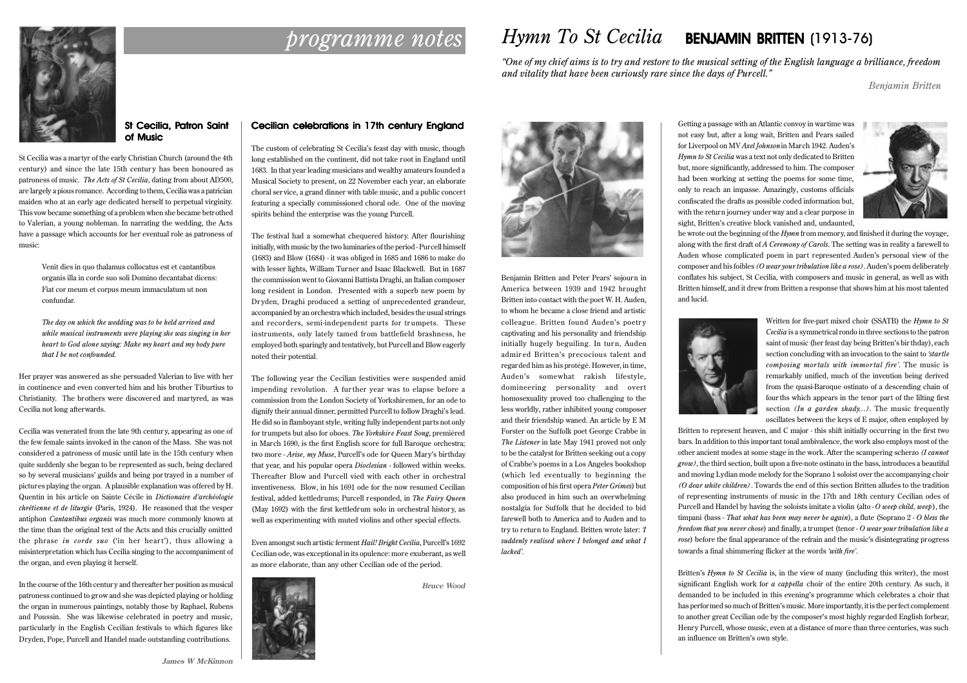

# *programme notes Hymn To St Cecilia* BENJAMIN BRITTEN (1913-76)

*"One of my chief aims is to try and restore to the musical setting of the English language a brilliance, freedom and vitality that have been curiously rare since the days of Purcell."*

*Benjamin Britten*

## St Cecilia, Patron Saint of Music

St Cecilia was a martyr of the early Christian Church (around the 4th century) and since the late 15th century has been honoured as patroness of music. *The Acts of St Cecilia*, dating from about AD500, are largely a pious romance. According to them, Cecilia was a patrician maiden who at an early age dedicated herself to perpetual virginity. This vow became something of a problem when she became betrothed to Valerian, a young nobleman. In narrating the wedding, the Acts have a passage which accounts for her eventual role as patroness of music:

> Venit dies in quo thalamus collocatus est et cantantibus organis illa in corde suo soli Domino decantabat dicens: Fiat cor meum et corpus meum immaculatum ut non confundar.

*The day on which the wedding was to be held arrived and while musical instruments were playing she was singing in her heart to God alone saying: Make my heart and my body pure that I be not confounded.*

Her prayer was answered as she persuaded Valerian to live with her in continence and even converted him and his brother Tiburtius to Christianity. The brothers were discovered and martyred, as was Cecilia not long afterwards.

Cecilia was venerated from the late 9th centur y, appearing as one of the few female saints invoked in the canon of the Mass. She was not considered a patroness of music until late in the 15th century when quite suddenly she began to be represented as such, being declared so by several musicians' guilds and being por trayed in a number of pictures playing the organ. A plausible explanation was offered by H. Quentin in his article on Sainte Cécile in *Dictionaire d'archéologie chrétienne et de liturgie* (Paris, 1924). He reasoned that the vesper antiphon *Cantantibus organis* was much more commonly known at the time than the original text of the Acts and this crucially omitted the phrase *in corde suo* ('in her heart'), thus allowing a misinterpretation which has Cecilia singing to the accompaniment of the organ, and even playing it herself.

In the course of the 16th centur y and thereafter her position as musical patroness continued to grow and she was depicted playing or holding the organ in numerous paintings, notably those by Raphael, Rubens and Poussin. She was likewise celebrated in poetry and music, particularly in the English Cecilian festivals to which figures like Dryden, Pope, Purcell and Handel made outstanding contributions.

# Cecilian celebrations in 17th century England

The custom of celebrating St Cecilia's feast day with music, though long established on the continent, did not take root in England until 1683. In that year leading musicians and wealthy amateurs founded a Musical Society to present, on 22 November each year, an elaborate choral ser vice, a grand dinner with table music, and a public concert featuring a specially commissioned choral ode. One of the moving spirits behind the enterprise was the young Purcell.

The festival had a somewhat chequered history. After flourishing initially, with music by the two luminaries of the period - Purcell himself (1683) and Blow (1684) - it was obliged in 1685 and 1686 to make do with lesser lights, William Turner and Isaac Blackwell. But in 1687 the commission went to Giovanni Battista Draghi, an Italian composer long resident in London. Presented with a superb new poem by Dr yden, Draghi produced a setting of unprecedented grandeur, accompanied by an orchestra which included, besides the usual strings and recorders, semi-independent parts for trumpets. These instruments, only lately tamed from battlefield brashness, he employed both sparingly and tentatively, but Purcell and Blow eagerly noted their potential.

The following year the Cecilian festivities were suspended amid impending revolution. A further year was to elapse before a commission from the London Society of Yorkshiremen, for an ode to dignify their annual dinner, permitted Purcell to follow Draghi's lead. He did so in flamboyant style, writing fully independent parts not only for trumpets but also for oboes. *The Yorkshire Feast Song*, premièred in March 1690, is the first English score for full Baroque orchestra; two more - *Arise, my Muse*, Purcell's ode for Queen Mary's birthday that year, and his popular opera *Dioclesian* - followed within weeks. Thereafter Blow and Purcell vied with each other in orchestral inventiveness. Blow, in his 1691 ode for the now resumed Cecilian festival, added kettledrums; Purcell responded, in *The Fairy Queen* (May 1692) with the first kettledrum solo in orchestral histor y, as well as experimenting with muted violins and other special effects.

Even amongst such artistic ferment *Hail! Bright Cecilia*, Purcell's 1692 Cecilian ode, was exceptional in its opulence: more exuberant, as well as more elaborate, than any other Cecilian ode of the period.



**Bruce Wood**



Benjamin Britten and Peter Pears' sojourn in America between 1939 and 1942 brought Britten into contact with the poet W. H. Auden, to whom he became a close friend and artistic colleague. Britten found Auden's poetry captivating and his personality and friendship initially hugely beguiling. In turn, Auden admired Britten's precocious talent and regarded him as his protégé. However, in time, Auden's somewhat rakish lifestyle, domineering personality and overt homosexuality proved too challenging to the less worldly, rather inhibited young composer and their friendship waned. An article by E M Forster on the Suffolk poet George Crabbe in *The Listener* in late May 1941 proved not only to be the catalyst for Britten seeking out a copy of Crabbe's poems in a Los Angeles bookshop (which led eventually to beginning the composition of his first opera *Peter Grimes*) but also produced in him such an overwhelming nostalgia for Suffolk that he decided to bid farewell both to America and to Auden and to try to return to England. Britten wrote later: *'I suddenly realised where I belonged and what I lacked'.*

Getting a passage with an Atlantic convoy in wartime was not easy but, after a long wait, Britten and Pears sailed for Liverpool on MV *Axel Johnson* in March 1942. Auden's *Hymn to St Cecilia* was a text not only dedicated to Britten but, more significantly, addressed to him. The composer had been working at setting the poems for some time, only to reach an impasse. Amazingly, customs officials confiscated the drafts as possible coded information but, with the return journey under way and a clear purpose in sight, Britten's creative block vanished and, undaunted,



he wrote out the beginning of the *Hymn* from memory, and finished it during the voyage, along with the first draft of *A Ceremony of Carols*. The setting was in reality a farewell to Auden whose complicated poem in part represented Auden's personal view of the composer and his foibles *(O wear your tribulation like a rose)*. Auden's poem deliberately conflates his subject, St Cecilia, with composers and music in general, as well as with Britten himself, and it drew from Britten a response that shows him at his most talented and lucid.



Written for five-part mixed choir (SSATB) the *Hymn to St Cecilia* is a symmetrical rondo in three sections to the patron saint of music (her feast day being Britten's bir thday), each section concluding with an invocation to the saint to *'startle composing mortals with immortal fire'*. The music is remarkably unified, much of the invention being derived from the quasi-Baroque ostinato of a descending chain of fourths which appears in the tenor part of the lilting first section *(In a garden shady...)*. The music frequently oscillates between the keys of E major, often employed by

Britten to represent heaven, and C major - this shift initially occurring in the first two bars. In addition to this important tonal ambivalence, the work also employs most of the other ancient modes at some stage in the work. After the scampering scherzo *(I cannot grow)*, the third section, built upon a five-note ostinato in the bass, introduces a beautiful and moving Lydian mode melody for the Soprano 1 soloist over the accompanying choir *(O dear white children)*. Towards the end of this section Britten alludes to the tradition of representing instruments of music in the 17th and 18th century Cecilian odes of Purcell and Handel by having the soloists imitate a violin (alto - *O weep child, weep*), the timpani (bass - *That what has been may never be again*), a flute (Soprano 2 - *O bless the freedom that you never chose*) and finally, a trumpet (tenor - *O wear your tribulation like a rose*) before the final appearance of the refrain and the music's disintegrating progress towards a final shimmering flicker at the words *'with fire'*.

Britten's *Hymn to St Cecilia* is, in the view of many (including this writer), the most significant English work for *a cappella* choir of the entire 20th century. As such, it demanded to be included in this evening's programme which celebrates a choir that has performed so much of Britten's music. More importantly, it is the perfect complement to another great Cecilian ode by the composer's most highly regarded English forbear, Henry Purcell, whose music, even at a distance of more than three centuries, was such an influence on Britten's own style.

**James W McKinnon**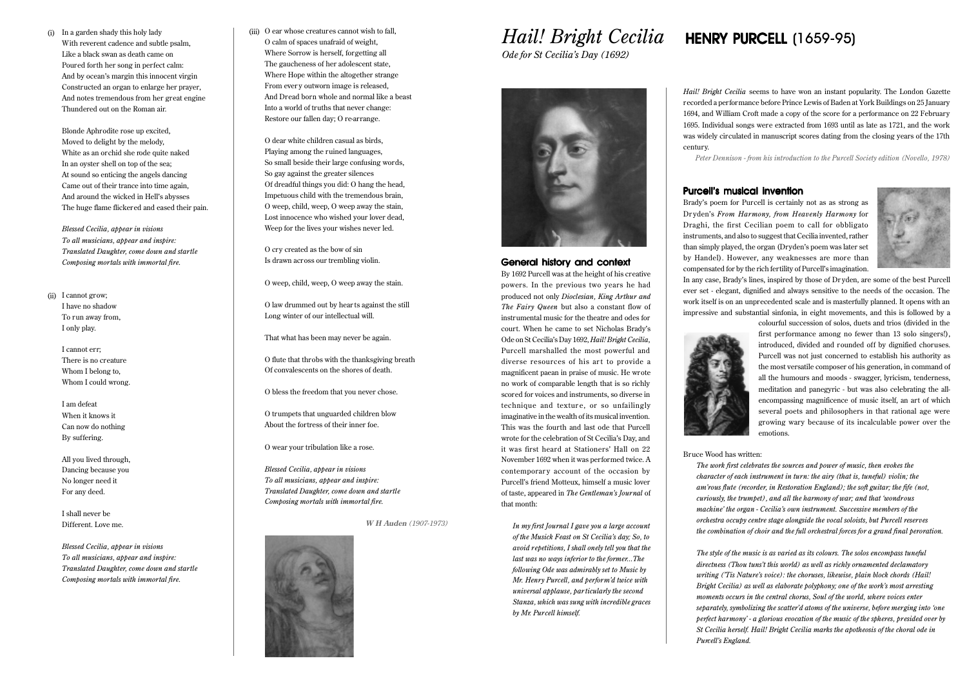(i) (iii) In a garden shady this holy lady With reverent cadence and subtle psalm, Like a black swan as death came on Poured forth her song in perfect calm: And by ocean's margin this innocent virgin Constructed an organ to enlarge her prayer, And notes tremendous from her great engine Thundered out on the Roman air.

Blonde Aphrodite rose up excited, Moved to delight by the melody, White as an orchid she rode quite naked In an oyster shell on top of the sea; At sound so enticing the angels dancing Came out of their trance into time again, And around the wicked in Hell's abysses The huge flame flickered and eased their pain.

*Blessed Cecilia, appear in visions To all musicians, appear and inspire: Translated Daughter, come down and startle Composing mortals with immortal fire.*

(ii) I cannot grow; I have no shadow To run away from, I only play.

> I cannot err; There is no creature Whom I belong to, Whom I could wrong

I am defeat When it knows it Can now do nothing By suffering.

All you lived through, Dancing because you No longer need it For any deed.

I shall never be Different. Love me.

*Blessed Cecilia, appear in visions To all musicians, appear and inspire: Translated Daughter, come down and startle Composing mortals with immortal fire.*

Gii) O ear whose creatures cannot wish to fall O calm of spaces unafraid of weight, Where Sorrow is herself, forgetting all The gaucheness of her adolescent state, Where Hope within the altogether strange From ever y outworn image is released, And Dread born whole and normal like a beast Into a world of truths that never change: Restore our fallen day; O re-arrange.

O dear white children casual as birds, Playing among the ruined languages, So small beside their large confusing words, So gay against the greater silences Of dreadful things you did: O hang the head, Impetuous child with the tremendous brain, O weep, child, weep, O weep away the stain, Lost innocence who wished your lover dead, Weep for the lives your wishes never led.

O cry created as the bow of sin Is drawn across our trembling violin.

O weep, child, weep, O weep away the stain.

O law drummed out by hear ts against the still Long winter of our intellectual will.

That what has been may never be again.

O flute that throbs with the thanksgiving breath Of convalescents on the shores of death.

O bless the freedom that you never chose.

O trumpets that unguarded children blow About the fortress of their inner foe.

O wear your tribulation like a rose.

*Blessed Cecilia, appear in visions To all musicians, appear and inspire: Translated Daughter, come down and startle Composing mortals with immortal fire.*

**W H Auden** *(1907-1973)*



*Ode for St Cecilia's Day (1692)*



### General history and context

By 1692 Purcell was at the height of his creative powers. In the previous two years he had produced not only *Dioclesian, King Arthur and The Fairy Queen* but also a constant flow of instrumental music for the theatre and odes for court. When he came to set Nicholas Brady's Ode on St Cecilia's Day 1692, *Hail! Bright Cecilia*, Purcell marshalled the most powerful and diverse resources of his art to provide a magnificent paean in praise of music. He wrote no work of comparable length that is so richly scored for voices and instruments, so diverse in technique and texture, or so unfailingly imaginative in the wealth of its musical invention. This was the fourth and last ode that Purcell wrote for the celebration of St Cecilia's Day, and it was first heard at Stationers' Hall on 22 November 1692 when it was performed twice. A contemporary account of the occasion by Purcell's friend Motteux, himself a music lover of taste, appeared in *The Gentleman's Journal* of that month:

*In my first Journal I gave you a large account of the Musick Feast on St Cecilia's day; So, to avoid repetitions, I shall onely tell you that the last was no ways inferior to the former...The following Ode was admirably set to Music by Mr. Henry Purcell, and perform'd twice with universal applause, par ticularly the second Stanza, which was sung with incredible graces by Mr. Purcell himself.*

# *Hail! Bright Cecilia* HENRY PURCELL (1659-95)

*Hail! Bright Cecilia* seems to have won an instant popularity. The London Gazette recorded a performance before Prince Lewis of Baden at York Buildings on 25 January 1694, and William Croft made a copy of the score for a performance on 22 February 1695. Individual songs were extracted from 1693 until as late as 1721, and the work was widely circulated in manuscript scores dating from the closing years of the 17th century.

*Peter Dennison - from his introduction to the Purcell Society edition (Novello, 1978)*

### Purcell's musical invention

Brady's poem for Purcell is certainly not as as strong as Dr yden's *From Harmony, from Heavenly Harmony* for Draghi, the first Cecilian poem to call for obbligato instruments, and also to suggest that Cecilia invented, rather than simply played, the organ (Dryden's poem was later set by Handel). However, any weaknesses are more than compensated for by the rich fertility of Purcell's imagination.



In any case, Brady's lines, inspired by those of Dr yden, are some of the best Purcell ever set - elegant, dignified and always sensitive to the needs of the occasion. The work itself is on an unprecedented scale and is masterfully planned. It opens with an impressive and substantial sinfonia, in eight movements, and this is followed by a colourful succession of solos, duets and trios (divided in the



first performance among no fewer than 13 solo singers!), introduced, divided and rounded off by dignified choruses. Purcell was not just concerned to establish his authority as the most versatile composer of his generation, in command of all the humours and moods - swagger, lyricism, tenderness, meditation and panegyric - but was also celebrating the allencompassing magnificence of music itself, an art of which several poets and philosophers in that rational age were growing wary because of its incalculable power over the emotions.

### Bruce Wood has written:

*The work first celebrates the sources and power of music, then evokes the character of each instrument in turn: the airy (that is, tuneful) violin; the am'rous flute (recorder, in Restoration England); the soft guitar; the fife (not, curiously, the trumpet), and all the harmony of war; and that 'wondrous machine' the organ - Cecilia's own instrument. Successive members of the orchestra occupy centre stage alongside the vocal soloists, but Purcell reserves the combination of choir and the full orchestral forces for a grand final peroration.*

*The style of the music is as varied as its colours. The solos encompass tuneful directness (Thou tuns't this world) as well as richly ornamented declamatory writing ('Tis Nature's voice): the choruses, likewise, plain block chords (Hail! Bright Cecilia) as well as elaborate polyphony; one of the work's most arresting moments occurs in the central chorus, Soul of the world, where voices enter separately, symbolizing the scatter'd atoms of the universe, before merging into 'one perfect harmony' - a glorious evocation of the music of the spheres, presided over by St Cecilia herself. Hail! Bright Cecilia marks the apotheosis of the choral ode in Purcell's England.*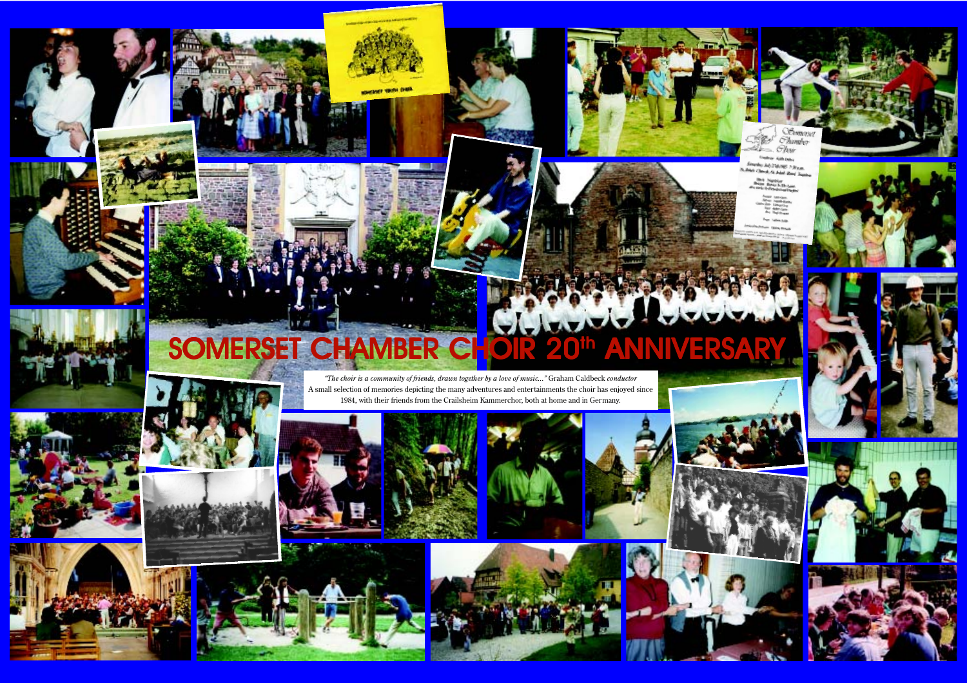# SOMERSET CHAMBER CHOIR 20th ANNIVERSA

*"The choir is a community of friends, drawn together by a love of music..."* Graham Caldbeck *conductor* A small selection of memories depicting the many adventures and entertainments the choir has enjoyed since 1984, with their friends from the Crailsheim Kammerchor, both at home and in Germany.













R

Oftempa  $Chimbo$  $Shw$ Make Kansas Seturday July 214 (982 - 30 p.m.)<br>24 Jules Charol, St. John Road Tamara Margins<br>Robert In Elections<br>Williams



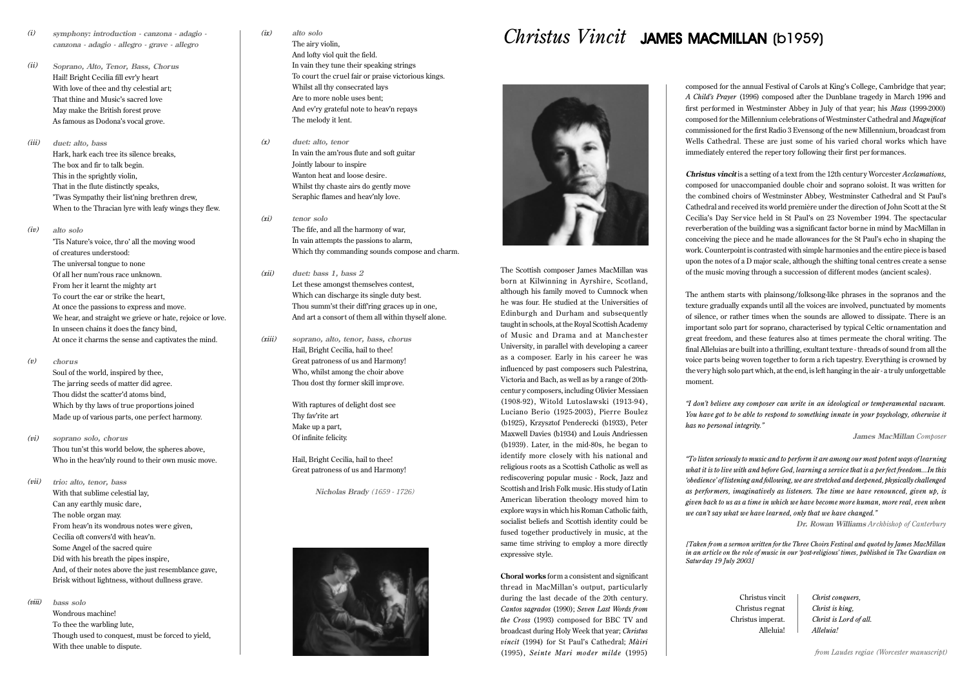- **symphony: introduction canzona adagio canzona - adagio - allegro - grave - allegro** *(i)*
- **Soprano, Alto, Tenor, Bass, Chorus** Hail! Bright Cecilia fill evr'y heart With love of thee and thy celestial art; That thine and Music's sacred love May make the British forest prove As famous as Dodona's vocal grove. *(ii)*
- **duet: alto, bass** Hark, hark each tree its silence breaks, The box and fir to talk begin. This in the sprightly violin, That in the flute distinctly speaks, 'Twas Sympathy their list'ning brethren drew, When to the Thracian lyre with leafy wings they flew. *(iii)*
- **alto solo** *(iv)*

'Tis Nature's voice, thro' all the moving wood of creatures understood: The universal tongue to none Of all her num'rous race unknown. From her it learnt the mighty art To court the ear or strike the heart, At once the passions to express and move. We hear, and straight we grieve or hate, rejoice or love. In unseen chains it does the fancy bind, At once it charms the sense and captivates the mind.

**chorus** *(v)*

*(vii)*

Soul of the world, inspired by thee, The jarring seeds of matter did agree. Thou didst the scatter'd atoms bind, Which by thy laws of true proportions joined Made up of various parts, one perfect harmony.

**soprano solo, chorus** Thou tun'st this world below, the spheres above, Who in the heav'nly round to their own music move. *(vi)*

> **trio: alto, tenor, bass** With that sublime celestial lay, Can any earthly music dare, The noble organ may. From heav'n its wondrous notes were given, Cecilia oft convers'd with heav'n. Some Angel of the sacred quire Did with his breath the pipes inspire, And, of their notes above the just resemblance gave, Brisk without lightness, without dullness grave.

**bass solo** *(viii)*

> Wondrous machine! To thee the warbling lute, Though used to conquest, must be forced to yield, With thee unable to dispute.

### **alto solo** *(ix)*

The airy violin, And lofty viol quit the field. In vain they tune their speaking strings To court the cruel fair or praise victorious kings. Whilst all thy consecrated lays Are to more noble uses bent; And ev'ry grateful note to heav'n repays The melody it lent.

- **duet: alto, tenor** In vain the am'rous flute and soft guitar Jointly labour to inspire Wanton heat and loose desire. Whilst thy chaste airs do gently move Seraphic flames and heav'nly love. *(x)*
- **tenor solo** *(xi)*

*(xii)*

The fife, and all the harmony of war, In vain attempts the passions to alarm, Which thy commanding sounds compose and charm.

- **duet: bass 1, bass 2** Let these amongst themselves contest, Which can discharge its single duty best. Thou summ'st their diff'ring graces up in one, And art a consort of them all within thyself alone.
- **soprano, alto, tenor, bass, chorus** Hail, Bright Cecilia, hail to thee! Great patroness of us and Harmony! Who, whilst among the choir above Thou dost thy former skill improve. *(xiii)*

With raptures of delight dost see Thy fav'rite art Make up a part, Of infinite felicity.

Hail, Bright Cecilia, hail to thee! Great patroness of us and Harmony!

**Nicholas Brady** *(1659 - 1726)*



# *Christus Vincit* JAMES MACMILLAN (b1959)



The Scottish composer James MacMillan was born at Kilwinning in Ayrshire, Scotland, although his family moved to Cumnock when he was four. He studied at the Universities of Edinburgh and Durham and subsequently taught in schools, at the Royal Scottish Academy of Music and Drama and at Manchester University, in parallel with developing a career as a composer. Early in his career he was influenced by past composers such Palestrina, Victoria and Bach, as well as by a range of 20thcentur y composers, including Olivier Messiaen (1908-92), Witold Lutoslawski (1913-94), Luciano Berio (1925-2003), Pierre Boulez (b1925), Krzysztof Penderecki (b1933), Peter Maxwell Davies (b1934) and Louis Andriessen (b1939). Later, in the mid-80s, he began to identify more closely with his national and religious roots as a Scottish Catholic as well as rediscovering popular music - Rock, Jazz and Scottish and Irish Folk music. His study of Latin American liberation theology moved him to explore ways in which his Roman Catholic faith, socialist beliefs and Scottish identity could be fused together productively in music, at the same time striving to employ a more directly expressive style.

**Choral works** form a consistent and significant thread in MacMillan's output, particularly during the last decade of the 20th century. *Cantos sagrados* (1990); *Seven Last Words from the Cross* (1993) composed for BBC TV and broadcast during Holy Week that year; *Christus vincit* (1994) for St Paul's Cathedral; *Màiri* (1995), *Seinte Mari moder milde* (1995)

composed for the annual Festival of Carols at King's College, Cambridge that year; *A Child's Prayer* (1996) composed after the Dunblane tragedy in March 1996 and first performed in Westminster Abbey in July of that year; his *Mass* (1999-2000) composed for the Millennium celebrations of Westminster Cathedral and *Magnificat* commissioned for the first Radio 3 Evensong of the new Millennium, broadcast from Wells Cathedral. These are just some of his varied choral works which have immediately entered the reper tory following their first per formances.

**Christus vincit** is a setting of a text from the 12th century Worcester *Acclamations*, composed for unaccompanied double choir and soprano soloist. It was written for the combined choirs of Westminster Abbey, Westminster Cathedral and St Paul's Cathedral and received its world première under the direction of John Scott at the St Cecilia's Day Ser vice held in St Paul's on 23 November 1994. The spectacular reverberation of the building was a significant factor borne in mind by MacMillan in conceiving the piece and he made allowances for the St Paul's echo in shaping the work. Counterpoint is contrasted with simple harmonies and the entire piece is based upon the notes of a D major scale, although the shifting tonal centres create a sense of the music moving through a succession of different modes (ancient scales).

The anthem starts with plainsong/folksong-like phrases in the sopranos and the texture gradually expands until all the voices are involved, punctuated by moments of silence, or rather times when the sounds are allowed to dissipate. There is an important solo part for soprano, characterised by typical Celtic ornamentation and great freedom, and these features also at times permeate the choral writing. The final Alleluias are built into a thrilling, exultant texture - threads of sound from all the voice parts being woven together to form a rich tapestry. Everything is crowned by the very high solo part which, at the end, is left hanging in the air - a truly unforgettable moment.

*"I don't believe any composer can write in an ideological or temperamental vacuum. You have got to be able to respond to something innate in your psychology, otherwise it has no personal integrity."*

**James MacMillan** *Composer*

*"To listen seriously to music and to perform it are among our most potent ways of learning* what it is to live with and before God, learning a service that is a perfect freedom...In this *'obedience' of listening and following, we are stretched and deepened, physically challenged as performers, imaginatively as listeners. The time we have renounced, given up, is given back to us as a time in which we have become more human, more real, even when we can't say what we have learned, only that we have changed."*

**Dr. Rowan Williams** *Archbishop of Canterbury*

*[Taken from a sermon written for the Three Choirs Festival and quoted by James MacMillan in an article on the role of music in our 'post-religious' times, published in The Guardian on Saturday 19 July 2003]*

> Christus vincit Christus regnat Christus imperat. Alleluia!

*Christ conquers, Christ is king, Christ is Lord of all. Alleluia!*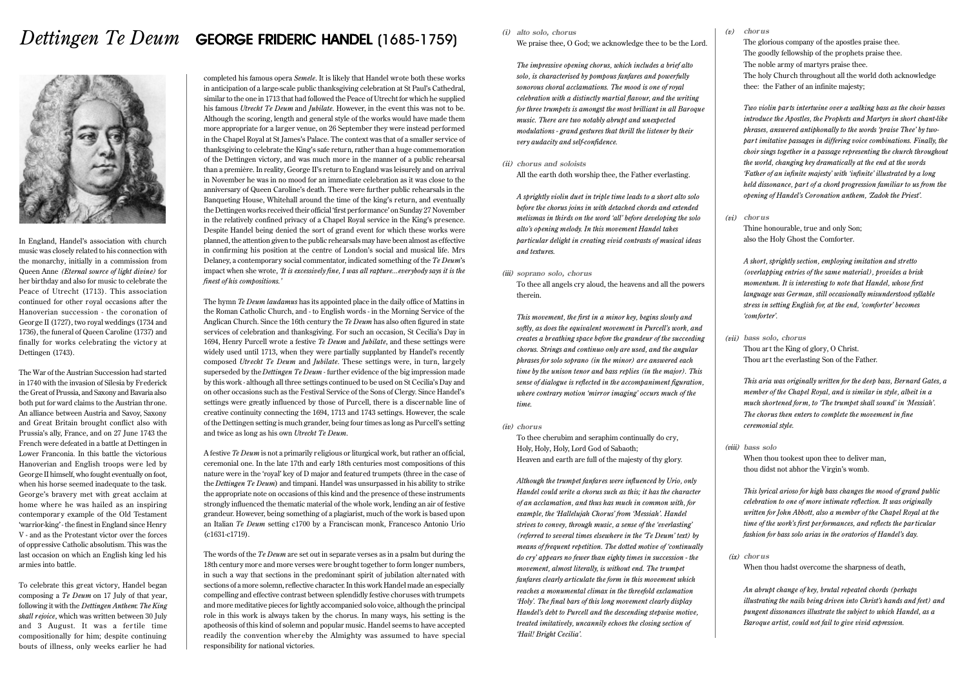# *Dettingen Te Deum* GEORGE FRIDERIC HANDEL (1685-1759)



In England, Handel's association with church music was closely related to his connection with the monarchy, initially in a commission from Queen Anne *(Eternal source of light divine)* for her birthday and also for music to celebrate the Peace of Utrecht (1713). This association continued for other royal occasions after the Hanoverian succession - the coronation of George II (1727), two royal weddings (1734 and 1736), the funeral of Queen Caroline (1737) and finally for works celebrating the victory at Dettingen (1743).

The War of the Austrian Succession had started in 1740 with the invasion of Silesia by Frederick the Great of Prussia, and Saxony and Bavaria also both put for ward claims to the Austrian throne. An alliance between Austria and Savoy, Saxony and Great Britain brought conflict also with Prussia's ally, France, and on 27 June 1743 the French were defeated in a battle at Dettingen in Lower Franconia. In this battle the victorious Hanoverian and English troops were led by George II himself, who fought eventually on foot, when his horse seemed inadequate to the task. George's bravery met with great acclaim at home where he was hailed as an inspiring contemporar y example of the Old Testament 'warrior-king' - the finest in England since Henry V - and as the Protestant victor over the forces of oppressive Catholic absolutism. This was the last occasion on which an English king led his armies into battle.

To celebrate this great victory, Handel began composing a *Te Deum* on 17 July of that year, following it with the *Dettingen Anthem*: *The King shall rejoice*, which was written between 30 July and 3 August. It was a fertile time compositionally for him; despite continuing bouts of illness, only weeks earlier he had completed his famous opera *Semele*. It is likely that Handel wrote both these works in anticipation of a large-scale public thanksgiving celebration at St Paul's Cathedral, similar to the one in 1713 that had followed the Peace of Utrecht for which he supplied his famous *Utrecht Te Deum* and *Jubilate*. However, in the event this was not to be. Although the scoring, length and general style of the works would have made them more appropriate for a larger venue, on 26 September they were instead performed in the Chapel Royal at St James's Palace. The context was that of a smaller service of thanksgiving to celebrate the King's safe return, rather than a huge commemoration of the Dettingen victory, and was much more in the manner of a public rehearsal than a première. In reality, George II's return to England was leisurely and on arrival in November he was in no mood for an immediate celebration as it was close to the anniversary of Queen Caroline's death. There were further public rehearsals in the Banqueting House, Whitehall around the time of the king's return, and eventually the Dettingen works received their official 'first performance' on Sunday 27 November in the relatively confined privacy of a Chapel Royal service in the King's presence. Despite Handel being denied the sort of grand event for which these works were planned, the attention given to the public rehearsals may have been almost as effective in confirming his position at the centre of London's social and musical life. Mrs Delaney, a contemporary social commentator, indicated something of the *Te Deum*'s impact when she wrote, *'It is excessively fine, I was all rapture...everybody says it is the finest of his compositions.'*

The hymn *Te Deum laudamus* has its appointed place in the daily office of Mattins in the Roman Catholic Church, and - to English words - in the Morning Service of the Anglican Church. Since the 16th century the *Te Deum* has also often figured in state services of celebration and thanksgiving. For such an occasion, St Cecilia's Day in 1694, Henry Purcell wrote a festive *Te Deum* and *Jubilate*, and these settings were widely used until 1713, when they were partially supplanted by Handel's recently composed *Utrecht Te Deum* and *Jubilate*. These settings were, in turn, largely superseded by the *Dettingen Te Deum* - further evidence of the big impression made by this work - although all three settings continued to be used on St Cecilia's Day and on other occasions such as the Festival Service of the Sons of Clergy. Since Handel's settings were greatly influenced by those of Purcell, there is a discernable line of creative continuity connecting the 1694, 1713 and 1743 settings. However, the scale of the Dettingen setting is much grander, being four times as long as Purcell's setting and twice as long as his own *Utrecht Te Deum*.

A festive *Te Deum* is not a primarily religious or liturgical work, but rather an official, ceremonial one. In the late 17th and early 18th centuries most compositions of this nature were in the 'royal' key of D major and featured trumpets (three in the case of the *Dettingen Te Deum*) and timpani. Handel was unsurpassed in his ability to strike the appropriate note on occasions of this kind and the presence of these instruments strongly influenced the thematic material of the whole work, lending an air of festive grandeur. However, being something of a plagiarist, much of the work is based upon an Italian *Te Deum* setting c1700 by a Franciscan monk, Francesco Antonio Urio (c1631-c1719).

The words of the *Te Deum* are set out in separate verses as in a psalm but during the 18th century more and more verses were brought together to form longer numbers, in such a way that sections in the predominant spirit of jubilation alternated with sections of a more solemn, reflective character. In this work Handel made an especially compelling and effective contrast between splendidly festive choruses with trumpets and more meditative pieces for lightly accompanied solo voice, although the principal role in this work is always taken by the chorus. In many ways, his setting is the apotheosis of this kind of solemn and popular music. Handel seems to have accepted readily the convention whereby the Almighty was assumed to have special responsibility for national victories.

### *(i)* **alto solo, chorus**

We praise thee, O God; we acknowledge thee to be the Lord.

*The impressive opening chorus, which includes a brief alto solo, is characterised by pompous fanfares and powerfully sonorous choral acclamations. The mood is one of royal celebration with a distinctly martial flavour, and the writing for three trumpets is amongst the most brilliant in all Baroque music. There are two notably abrupt and unexpected modulations - grand gestures that thrill the listener by their very audacity and self-confidence.*

*(ii)* **chorus and soloists**

All the earth doth worship thee, the Father everlasting.

*A sprightly violin duet in triple time leads to a short alto solo before the chorus joins in with detached chords and extended melismas in thirds on the word 'all' before developing the solo alto's opening melody. In this movement Handel takes particular delight in creating vivid contrasts of musical ideas and textures.*

*(iii)* **soprano solo, chorus**

To thee all angels cry aloud, the heavens and all the powers therein.

*This movement, the first in a minor key, begins slowly and softly, as does the equivalent movement in Purcell's work, and creates a breathing space before the grandeur of the succeeding chorus. Strings and continuo only are used, and the angular phrases for solo soprano (in the minor) are answered each time by the unison tenor and bass replies (in the major). This sense of dialogue is reflected in the accompaniment figuration, where contrary motion 'mirror imaging' occurs much of the time.*

*(iv)* **chorus**

To thee cherubim and seraphim continually do cry, Holy, Holy, Holy, Lord God of Sabaoth; Heaven and earth are full of the majesty of thy glory.

*Although the trumpet fanfares were influenced by Urio, only Handel could write a chorus such as this; it has the character of an acclamation, and thus has much in common with, for example, the 'Hallelujah Chorus' from 'Messiah'. Handel strives to convey, through music, a sense of the 'everlasting' (referred to several times elsewhere in the 'Te Deum' text) by means of frequent repetition. The dotted motive of 'continually do cry' appears no fewer than eighty times in succession - the movement, almost literally, is without end. The trumpet fanfares clearly articulate the form in this movement which reaches a monumental climax in the threefold exclamation 'Holy'. The final bars of this long movement clearly display Handel's debt to Purcell and the descending stepwise motive, treated imitatively, uncannily echoes the closing section of 'Hail! Bright Cecilia'.*

### *(v)* **chorus**

The glorious company of the apostles praise thee. The goodly fellowship of the prophets praise thee. The noble army of martyrs praise thee. The holy Church throughout all the world doth acknowledge thee: the Father of an infinite majesty;

*Two violin par ts intertwine over a walking bass as the choir basses introduce the Apostles, the Prophets and Martyrs in short chant-like phrases, answered antiphonally to the words 'praise Thee' by twopar t imitative passages in differing voice combinations. Finally, the choir sings together in a passage representing the church throughout the world, changing key dramatically at the end at the words 'Father of an infinite majesty' with 'infinite' illustrated by a long held dissonance, par t of a chord progression familiar to us from the opening of Handel's Coronation anthem, 'Zadok the Priest'.*

### *(vi)* **chorus**

Thine honourable, true and only Son; also the Holy Ghost the Comforter.

*A short, sprightly section, employing imitation and stretto (overlapping entries of the same material), provides a brisk momentum. It is interesting to note that Handel, whose first language was German, still occasionally misunderstood syllable stress in setting English for, at the end, 'comforter' becomes 'comforter'.*

*(vii)* **bass solo, chorus**

Thou ar t the King of glory, O Christ. Thou ar t the everlasting Son of the Father.

*This aria was originally written for the deep bass, Bernard Gates, a member of the Chapel Royal, and is similar in style, albeit in a much shortened form, to 'The trumpet shall sound' in 'Messiah'. The chorus then enters to complete the movement in fine ceremonial style.*

### *(viii)* **bass solo**

When thou tookest upon thee to deliver man, thou didst not abhor the Virgin's womb.

*This lyrical arioso for high bass changes the mood of grand public celebration to one of more intimate reflection. It was originally written for John Abbott, also a member of the Chapel Royal at the time of the work's first per formances, and reflects the par ticular fashion for bass solo arias in the oratorios of Handel's day.*

 *(ix)* **chorus**

When thou hadst overcome the sharpness of death,

*An abrupt change of key, brutal repeated chords (perhaps illustrating the nails being driven into Christ's hands and feet) and pungent dissonances illustrate the subject to which Handel, as a Baroque artist, could not fail to give vivid expression.*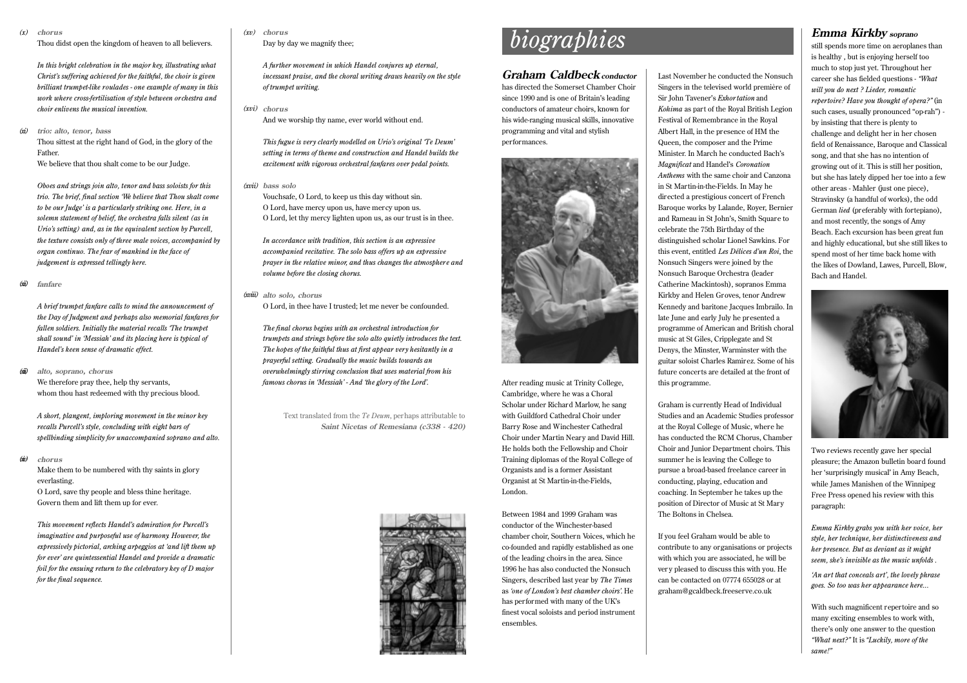*(x)* **chorus**

*(xi)*

Thou didst open the kingdom of heaven to all believers.

*In this bright celebration in the major key, illustrating what Christ's suffering achieved for the faithful, the choir is given brilliant trumpet-like roulades - one example of many in this work where cross-fertilisation of style between orchestra and choir enlivens the musical invention.*

**trio: alto, tenor, bass** Thou sittest at the right hand of God, in the glory of the Father. We believe that thou shalt come to be our Judge.

*Oboes and strings join alto, tenor and bass soloists for this trio. The brief, final section 'We believe that Thou shalt come to be our Judge' is a particularly striking one. Here, in a solemn statement of belief, the orchestra falls silent (as in Urio's setting) and, as in the equivalent section by Purcell, the texture consists only of three male voices, accompanied by organ continuo. The fear of mankind in the face of judgement is expressed tellingly here.*

*(xii)* **fanfare**

> *A brief trumpet fanfare calls to mind the announcement of the Day of Judgment and perhaps also memorial fanfares for fallen soldiers. Initially the material recalls 'The trumpet shall sound' in 'Messiah' and its placing here is typical of Handel's keen sense of dramatic effect.*

*(xiii)* **alto, soprano, chorus** We therefore pray thee, help thy servants, whom thou hast redeemed with thy precious blood.

*A short, plangent, imploring movement in the minor key recalls Purcell's style, concluding with eight bars of spellbinding simplicity for unaccompanied soprano and alto.*

*(xiv)* **chorus**

> Make them to be numbered with thy saints in glory everlasting. O Lord, save thy people and bless thine heritage. Govern them and lift them up for ever.

*This movement reflects Handel's admiration for Purcell's imaginative and purposeful use of harmony. However, the expressively pictorial, arching arpeggios at 'and lift them up for ever' are quintessential Handel and provide a dramatic foil for the ensuing return to the celebratory key of D major for the final sequence.*

### **chorus** *(xv)*

Day by day we magnify thee;

*A further movement in which Handel conjures up eternal, incessant praise, and the choral writing draws heavily on the style of trumpet writing.*

**chorus** *(xvi)*

And we worship thy name, ever world without end.

*This fugue is very clearly modelled on Urio's original 'Te Deum' setting in terms of theme and construction and Handel builds the excitement with vigorous orchestral fanfares over pedal points.*

**bass solo** *(xvii)*

Vouchsafe, O Lord, to keep us this day without sin. O Lord, have mercy upon us, have mercy upon us. O Lord, let thy mercy lighten upon us, as our trust is in thee.

*In accordance with tradition, this section is an expressive accompanied recitative. The solo bass offers up an expressive prayer in the relative minor, and thus changes the atmosphere and volume before the closing chorus.*

### **alto solo, chorus** *(xviii)*

O Lord, in thee have I trusted; let me never be confounded.

*The final chorus begins with an orchestral introduction for trumpets and strings before the solo alto quietly introduces the text. The hopes of the faithful thus at first appear very hesitantly in a prayerful setting. Gradually the music builds towards an overwhelmingly stirring conclusion that uses material from his famous chorus in 'Messiah' - And 'the glory of the Lord'.*

Text translated from the *Te Deum*, perhaps attributable to **Saint Nicetas of Remesiana (c338 - 420)**



# *biographies*

### **Graham Caldbeck conductor**

has directed the Somerset Chamber Choir since 1990 and is one of Britain's leading conductors of amateur choirs, known for his wide-ranging musical skills, innovative programming and vital and stylish performances.



After reading music at Trinity College, Cambridge, where he was a Choral Scholar under Richard Marlow, he sang with Guildford Cathedral Choir under Barry Rose and Winchester Cathedral Choir under Martin Neary and David Hill. He holds both the Fellowship and Choir Training diplomas of the Royal College of Organists and is a former Assistant Organist at St Martin-in-the-Fields, London.

Between 1984 and 1999 Graham was conductor of the Winchester-based chamber choir, Southern Voices, which he co-founded and rapidly established as one of the leading choirs in the area. Since 1996 he has also conducted the Nonsuch Singers, described last year by *The Times* as *'one of London's best chamber choirs'*. He has performed with many of the UK's finest vocal soloists and period instrument ensembles.

Last November he conducted the Nonsuch Singers in the televised world première of Sir John Tavener's *Exhor tation* and *Kohima* as part of the Royal British Legion Festival of Remembrance in the Royal Albert Hall, in the presence of HM the Queen, the composer and the Prime Minister. In March he conducted Bach's *Magnificat* and Handel's *Coronation Anthems* with the same choir and Canzona in St Martin-in-the-Fields. In May he directed a prestigious concert of French Baroque works by Lalande, Royer, Bernier and Rameau in St John's, Smith Square to celebrate the 75th Birthday of the distinguished scholar Lionel Sawkins. For this event, entitled *Les Délices d'un Roi*, the Nonsuch Singers were joined by the Nonsuch Baroque Orchestra (leader Catherine Mackintosh), sopranos Emma Kirkby and Helen Groves, tenor Andrew Kennedy and baritone Jacques Imbrailo. In late June and early July he presented a programme of American and British choral music at St Giles, Cripplegate and St Denys, the Minster, Warminster with the guitar soloist Charles Ramirez. Some of his future concerts are detailed at the front of this programme.

Graham is currently Head of Individual Studies and an Academic Studies professor at the Royal College of Music, where he has conducted the RCM Chorus, Chamber Choir and Junior Department choirs. This summer he is leaving the College to pursue a broad-based freelance career in conducting, playing, education and coaching. In September he takes up the position of Director of Music at St Mary The Boltons in Chelsea.

If you feel Graham would be able to contribute to any organisations or projects with which you are associated, he will be ver y pleased to discuss this with you. He can be contacted on 07774 655028 or at graham@gcaldbeck.freeserve.co.uk

## **Emma Kirkby soprano**

still spends more time on aeroplanes than is healthy , but is enjoying herself too much to stop just yet. Throughout her career she has fielded questions - *"What will you do next ? Lieder, romantic repertoire? Have you thought of opera?"* (in such cases, usually pronounced "op-rah") by insisting that there is plenty to challenge and delight her in her chosen field of Renaissance, Baroque and Classical song, and that she has no intention of growing out of it. This is still her position, but she has lately dipped her toe into a few other areas - Mahler (just one piece), Stravinsky (a handful of works), the odd German *lied* (preferably with fortepiano), and most recently, the songs of Amy Beach. Each excursion has been great fun and highly educational, but she still likes to spend most of her time back home with the likes of Dowland, Lawes, Purcell, Blow, Bach and Handel.



Two reviews recently gave her special pleasure; the Amazon bulletin board found her 'surprisingly musical' in Amy Beach, while James Manishen of the Winnipeg Free Press opened his review with this paragraph:

*Emma Kirkby grabs you with her voice, her style, her technique, her distinctiveness and her presence. But as deviant as it might seem, she's invisible as the music unfolds .*

*'An art that conceals art', the lovely phrase goes. So too was her appearance here...*

With such magnificent repertoire and so many exciting ensembles to work with, there's only one answer to the question *"What next?"* It is *"Luckily, more of the same!"*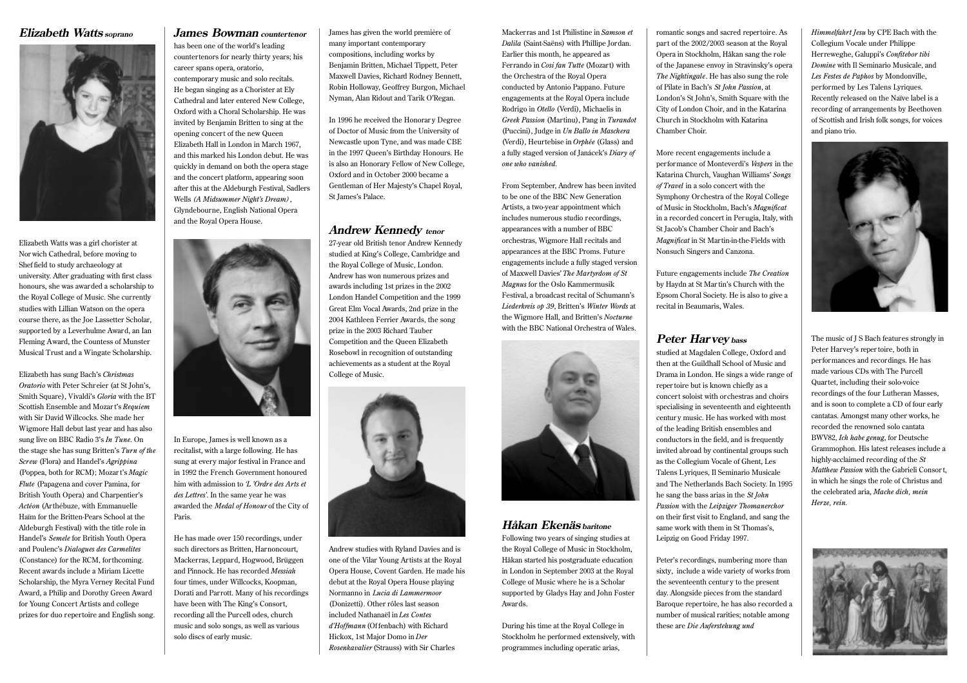## **Elizabeth Watts soprano**



Elizabeth Watts was a girl chorister at Nor wich Cathedral, before moving to Shef field to study archaeology at university. After graduating with first class honours, she was awarded a scholarship to the Royal College of Music. She currently studies with Lillian Watson on the opera course there, as the Joe Lassetter Scholar, supported by a Leverhulme Award, an Ian Fleming Award, the Countess of Munster Musical Trust and a Wingate Scholarship.

Elizabeth has sung Bach's *Christmas Oratorio* with Peter Schreier (at St John's, Smith Square), Vivaldi's *Gloria* with the BT Scottish Ensemble and Mozart's *Requiem* with Sir David Willcocks. She made her Wigmore Hall debut last year and has also sung live on BBC Radio 3's *In Tune*. On the stage she has sung Britten's *Turn of the Screw* (Flora) and Handel's *Agrippina* (Poppea, both for RCM); Mozar <sup>t</sup>'s *Magic Flute* (Papagena and cover Pamina, for British Youth Opera) and Charpentier's *Actéon* (Arthébuze, with Emmanuelle Haïm for the Britten-Pears School at the Aldeburgh Festival) with the title role in Handel's *Semele* for British Youth Opera and Poulenc's *Dialogues des Carmelites* (Constance) for the RCM, forthcoming. Recent awards include a Miriam Licette Scholarship, the Myra Verney Recital Fund Award, a Philip and Dorothy Green Award for Young Concert Artists and college prizes for duo repertoire and English song.

# **James Bowman countertenor**

has been one of the world's leading countertenors for nearly thirty years; his career spans opera, oratorio, contemporary music and solo recitals. He began singing as a Chorister at Ely Cathedral and later entered New College, Oxford with a Choral Scholarship. He was invited by Benjamin Britten to sing at the opening concert of the new Queen Elizabeth Hall in London in March 1967, and this marked his London debut. He was quickly in demand on both the opera stage and the concert platform, appearing soon after this at the Aldeburgh Festival, Sadlers Wells *(A Midsummer Night's Dream)*, Glyndebourne, English National Opera and the Royal Opera House.



In Europe, James is well known as a recitalist, with a large following. He has sung at every major festival in France and in 1992 the French Government honoured him with admission to *'L 'Ordre des Arts et des Lettres'*. In the same year he was awarded the *Medal of Honour* of the City of Paris.

He has made over 150 recordings, under such directors as Britten, Harnoncourt, Mackerras, Leppard, Hogwood, Brüggen and Pinnock. He has recorded *Messiah* four times, under Willcocks, Koopman, Dorati and Parrott. Many of his recordings have been with The King's Consort, recording all the Purcell odes, church music and solo songs, as well as various solo discs of early music.

James has given the world première of many important contemporary compositions, including works by Benjamin Britten, Michael Tippett, Peter Maxwell Davies, Richard Rodney Bennett, Robin Holloway, Geoffrey Burgon, Michael Nyman, Alan Ridout and Tarik O'Regan.

In 1996 he received the Honorar y Degree of Doctor of Music from the University of Newcastle upon Tyne, and was made CBE in the 1997 Queen's Birthday Honours. He is also an Honorary Fellow of New College, Oxford and in October 2000 became a Gentleman of Her Majesty's Chapel Royal, St James's Palace.

### **Andrew Kennedy tenor**

27-year old British tenor Andrew Kennedy studied at King's College, Cambridge and the Royal College of Music, London. Andrew has won numerous prizes and awards including 1st prizes in the 2002 London Handel Competition and the 1999 Great Elm Vocal Awards, 2nd prize in the 2004 Kathleen Ferrier Awards, the song prize in the 2003 Richard Tauber Competition and the Queen Elizabeth Rosebowl in recognition of outstanding achievements as a student at the Royal College of Music.



Andrew studies with Ryland Davies and is one of the Vilar Young Artists at the Royal Opera House, Covent Garden. He made his debut at the Royal Opera House playing Normanno in *Lucia di Lammermoor* (Donizetti). Other rôles last season included Nathanaël in *Les Contes d'Hoffmann* (Of fenbach) with Richard Hickox, 1st Major Domo in *Der Rosenkavalier* (Strauss) with Sir Charles

Mackerras and 1st Philistine in *Samson et Dalila* (Saint-Saëns) with Phillipe Jordan. Earlier this month, he appeared as Ferrando in *Cosi fan Tutte* (Mozart) with the Orchestra of the Royal Opera conducted by Antonio Pappano. Future engagements at the Royal Opera include Rodrigo in *Otello* (Verdi), Michaelis in *Greek Passion* (Martinu), Pang in *Turandot* (Puccini), Judge in *Un Ballo in Maschera* (Verdi), Heurtebise in *Orphée* (Glass) and a fully staged version of Janácek's *Diary of one who vanished*.

From September, Andrew has been invited to be one of the BBC New Generation Artists, a two-year appointment which includes numerous studio recordings, appearances with a number of BBC orchestras, Wigmore Hall recitals and appearances at the BBC Proms. Future engagements include a fully staged version of Maxwell Davies' *The Martyrdom of St Magnus* for the Oslo Kammermusik Festival, a broadcast recital of Schumann's *Liederkreis op 39*, Britten's *Winter Words* at the Wigmore Hall, and Britten's *Nocturne* with the BBC National Orchestra of Wales.



## **Håkan Ekenäs baritone**

Following two years of singing studies at the Royal College of Music in Stockholm, Håkan started his postgraduate education in London in September 2003 at the Royal College of Music where he is a Scholar supported by Gladys Hay and John Foster Awards.

During his time at the Royal College in Stockholm he performed extensively, with programmes including operatic arias,

romantic songs and sacred repertoire. As part of the 2002/2003 season at the Royal Opera in Stockholm, Håkan sang the role of the Japanese envoy in Stravinsky's opera *The Nightingale*. He has also sung the role of Pilate in Bach's *St John Passion*, at London's St John's, Smith Square with the City of London Choir, and in the Katarina Church in Stockholm with Katarina Chamber Choir.

More recent engagements include a performance of Monteverdi's *Vespers* in the Katarina Church, Vaughan Williams' *Songs of Travel* in a solo concert with the Symphony Orchestra of the Royal College of Music in Stockholm, Bach's *Magnificat* in a recorded concert in Perugia, Italy, with St Jacob's Chamber Choir and Bach's *Magnificat* in St Martin-in-the-Fields with Nonsuch Singers and Canzona.

Future engagements include *The Creation* by Haydn at St Mar tin's Church with the Epsom Choral Society. He is also to give a recital in Beaumaris, Wales.

# **Peter Harvey bass**

studied at Magdalen College, Oxford and then at the Guildhall School of Music and Drama in London. He sings a wide range of repertoire but is known chiefly as a concert soloist with orchestras and choirs specialising in seventeenth and eighteenth centur y music. He has worked with most of the leading British ensembles and conductors in the field, and is frequently invited abroad by continental groups such as the Collegium Vocale of Ghent, Les Talens L yriques, Il Seminario Musicale and The Netherlands Bach Society. In 1995 he sang the bass arias in the *St John Passion* with the *Leipziger Thomanerchor* on their first visit to England, and sang the same work with them in St Thomas's, Leipzig on Good Friday 1997.

Peter's recordings, numbering more than sixty, include a wide variety of works from the seventeenth centur y to the present day. Alongside pieces from the standard Baroque repertoire, he has also recorded a number of musical rarities; notable among these are *Die Auferstehung und*

*Himmelfahrt Jesu* by CPE Bach with the Collegium Vocale under Philippe Herreweghe, Galuppi's *Confitebor tibi Domine* with Il Seminario Musicale, and *Les Festes de Paphos* by Mondonville, performed by Les Talens Lyriques. Recently released on the Naïve label is a recording of arrangements by Beethoven of Scottish and Irish folk songs, for voices and piano trio.



The music of J S Bach features strongly in Peter Harvey's repertoire, both in performances and recordings. He has made various CDs with The Purcell Quartet, including their solo-voice recordings of the four Lutheran Masses, and is soon to complete a CD of four early cantatas. Amongst many other works, he recorded the renowned solo cantata BWV82, *Ich habe genug*, for Deutsche Grammophon. His latest releases include a highly-acclaimed recording of the *St Matthew Passion* with the Gabrieli Consor t, in which he sings the role of Christus and the celebrated aria, *Mache dich, mein Herze, rein.*

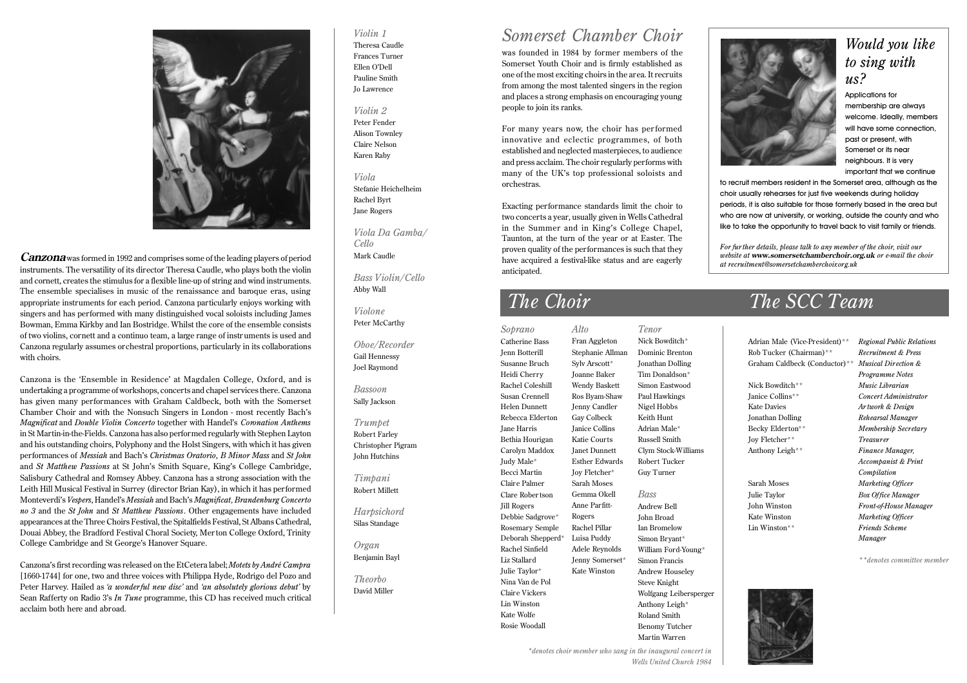

**Canzona**was formed in 1992 and comprises some of the leading players of period instruments. The versatility of its director Theresa Caudle, who plays both the violin and cornett, creates the stimulus for a flexible line-up of string and wind instruments. The ensemble specialises in music of the renaissance and baroque eras, using appropriate instruments for each period. Canzona particularly enjoys working with singers and has performed with many distinguished vocal soloists including James Bowman, Emma Kirkby and Ian Bostridge. Whilst the core of the ensemble consists of two violins, cornett and a continuo team, a large range of instr uments is used and Canzona regularly assumes orchestral proportions, particularly in its collaborations with choirs.

Canzona is the 'Ensemble in Residence' at Magdalen College, Oxford, and is undertaking a programme of workshops, concerts and chapel services there. Canzona has given many performances with Graham Caldbeck, both with the Somerset Chamber Choir and with the Nonsuch Singers in London - most recently Bach's *Magnificat* and *Double Violin Concerto* together with Handel's *Coronation Anthems* in St Martin-in-the-Fields. Canzona has also performed regularly with Stephen Layton and his outstanding choirs, Polyphony and the Holst Singers, with which it has given performances of *Messiah* and Bach's *Christmas Oratorio*, *B Minor Mass* and *St John* and *St Matthew Passions* at St John's Smith Square, King's College Cambridge, Salisbury Cathedral and Romsey Abbey. Canzona has a strong association with the Leith Hill Musical Festival in Surrey (director Brian Kay), in which it has performed Monteverdi's *Vespers*, Handel's *Messiah* and Bach's *Magnificat, Brandenburg Concerto no 3* and the *St John* and *St Matthew Passions*. Other engagements have included appearances at the Three Choirs Festival, the Spitalfields Festival, St Albans Cathedral, Douai Abbey, the Bradford Festival Choral Society, Merton College Oxford, Trinity College Cambridge and St George's Hanover Square.

Canzona's first recording was released on the EtCetera label; *Motets by André Campra* [1660-1744] for one, two and three voices with Philippa Hyde, Rodrigo del Pozo and Peter Harvey. Hailed as *'a wonderful new disc'* and *'an absolutely glorious debut'* by Sean Rafferty on Radio 3's *In Tune* programme, this CD has received much critical acclaim both here and abroad.

### *Violin 1* Theresa Caudle Frances Turner Ellen O'Dell Pauline Smith Jo Lawrence

*Violin 2* Peter Fender Alison Townley Claire Nelson Karen Raby

*Viola* Stefanie Heichelheim Rachel Byrt Jane Rogers

*Viola Da Gamba/ Cello* Mark Caudle

*Bass Violin/Cello* Abby Wall

*Violone* Peter McCarthy

*Oboe/Recorder* Gail Hennessy Joel Raymond

*Bassoon* Sally Jackson

*Trumpet* Robert Farley Christopher Pigram John Hutchins

*Timpani* Robert Millett

*Harpsichord* Silas Standage

*Organ* Benjamin Bayl

*Theorbo* David Miller

# *Somerset Chamber Choir*

was founded in 1984 by former members of the Somerset Youth Choir and is firmly established as one of the most exciting choirs in the area. It recruits from among the most talented singers in the region and places a strong emphasis on encouraging young people to join its ranks.

For many years now, the choir has per formed innovative and eclectic programmes, of both established and neglected masterpieces, to audience and press acclaim. The choir regularly performs with many of the UK's top professional soloists and orchestras.

Exacting performance standards limit the choir to two concerts a year, usually given in Wells Cathedral in the Summer and in King's College Chapel, Taunton, at the turn of the year or at Easter. The proven quality of the performances is such that they have acquired a festival-like status and are eagerly anticipated.

*Alto* Fran Aggleton Stephanie Allman Sylv Arscott\* Joanne Baker Wendy Baskett Ros Byam-Shaw Jenny Candler Gay Colbeck Janice Collins Katie Courts Janet Dunnett Esther Edwards Joy Fletcher\* Sarah Moses Gemma Okell Anne Parfitt-Rogers Rachel Pillar Luisa Puddy Adele Reynolds Jenny Somerset<sup>\*</sup> Kate Winston *Soprano* Catherine Bass Jenn Botterill Susanne Bruch Heidi Cherry Rachel Coleshill Susan Crennell Helen Dunnett Rebecca Elderton Jane Harris Bethia Hourigan Carolyn Maddox Judy Male\* Becci Martin Claire Palmer Clare Rober tson Jill Rogers Debbie Sadgrove\* Rosemary Semple Deborah Shepperd\* Rachel Sinfield Liz Stallard Julie Taylor\* Nina Van de Pol Claire Vickers Lin Winston Kate Wolfe Rosie Woodall

Nick Bowditch\* Dominic Brenton Jonathan Dolling Tim Donaldson\* Simon Eastwood Paul Hawkings Nigel Hobbs Keith Hunt Adrian Male\* Russell Smith Clym Stock-Williams Robert Tucker Guy Turner *Bass* Andrew Bell

*Tenor*

John Broad Ian Bromelow Simon Bryant\* William Ford-Young\* Simon Francis Andrew Houseley Steve Knight Wolfgang Leibersperger Anthony Leigh\* Roland Smith Benomy Tutcher Martin Warren



# *Would you like to sing with us?*

Applications for membership are always welcome. Ideally, members will have some connection. past or present, with Somerset or its near neighbours. It is very important that we continue

to recruit members resident in the Somerset area, although as the choir usually rehearses for just five weekends during holiday periods, it is also suitable for those formerly based in the area but who are now at university, or working, outside the county and who like to take the opportunity to travel back to visit family or friends.

*For fur ther details, please talk to any member of the choir, visit our website at* **www.somersetchamberchoir.org.uk** *or e-mail the choir at recruitment@somersetchamberchoir.org.uk*

# *The Choir The SCC Team*

Adrian Male (Vice-President)\*\* *Regional Public Relations* Rob Tucker (Chairman)\*\* *Recruitment & Press* Graham Caldbeck (Conductor)\*\* *Musical Direction & Programme Notes* Nick Bowditch\*\* *Music Librarian* Janice Collins\*\* *Concert Administrator* Kate Davies *Ar twork & Design* Jonathan Dolling *Rehearsal Manager* Becky Elderton\*\* *Membership Secretary* Joy Fletcher\*\* *Treasurer* Anthony Leigh\*\* *Finance Manager, Accompanist & Print Compilation* Sarah Moses *Marketing Officer Box Office Manager Box Office Manager* John Winston *Front-of-House Manager* Kate Winston *Marketing Officer* Lin Winston\*\* *Friends Scheme Manager*

*\*\*denotes committee member*